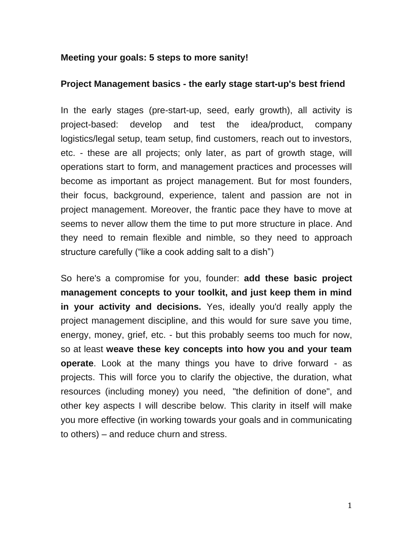## **Meeting your goals: 5 steps to more sanity!**

## **Project Management basics - the early stage start-up's best friend**

In the early stages (pre-start-up, seed, early growth), all activity is project-based: develop and test the idea/product, company logistics/legal setup, team setup, find customers, reach out to investors, etc. - these are all projects; only later, as part of growth stage, will operations start to form, and management practices and processes will become as important as project management. But for most founders, their focus, background, experience, talent and passion are not in project management. Moreover, the frantic pace they have to move at seems to never allow them the time to put more structure in place. And they need to remain flexible and nimble, so they need to approach structure carefully ("like a cook adding salt to a dish")

So here's a compromise for you, founder: **add these basic project management concepts to your toolkit, and just keep them in mind in your activity and decisions.** Yes, ideally you'd really apply the project management discipline, and this would for sure save you time, energy, money, grief, etc. - but this probably seems too much for now, so at least **weave these key concepts into how you and your team operate**. Look at the many things you have to drive forward - as projects. This will force you to clarify the objective, the duration, what resources (including money) you need, "the definition of done", and other key aspects I will describe below. This clarity in itself will make you more effective (in working towards your goals and in communicating to others) – and reduce churn and stress.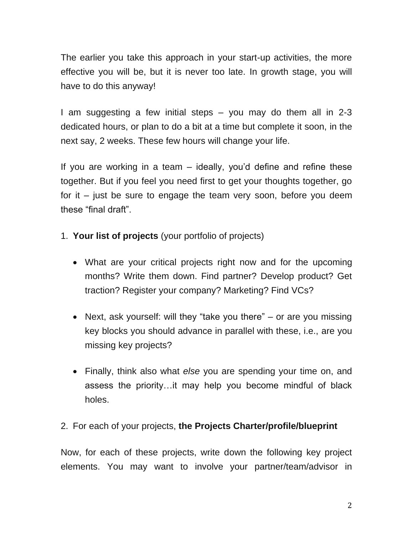The earlier you take this approach in your start-up activities, the more effective you will be, but it is never too late. In growth stage, you will have to do this anyway!

I am suggesting a few initial steps – you may do them all in 2-3 dedicated hours, or plan to do a bit at a time but complete it soon, in the next say, 2 weeks. These few hours will change your life.

If you are working in a team – ideally, you'd define and refine these together. But if you feel you need first to get your thoughts together, go for it – just be sure to engage the team very soon, before you deem these "final draft".

- 1. **Your list of projects** (your portfolio of projects)
	- What are your critical projects right now and for the upcoming months? Write them down. Find partner? Develop product? Get traction? Register your company? Marketing? Find VCs?
	- Next, ask yourself: will they "take you there" or are you missing key blocks you should advance in parallel with these, i.e., are you missing key projects?
	- Finally, think also what *else* you are spending your time on, and assess the priority…it may help you become mindful of black holes.

## 2. For each of your projects, **the Projects Charter/profile/blueprint**

Now, for each of these projects, write down the following key project elements. You may want to involve your partner/team/advisor in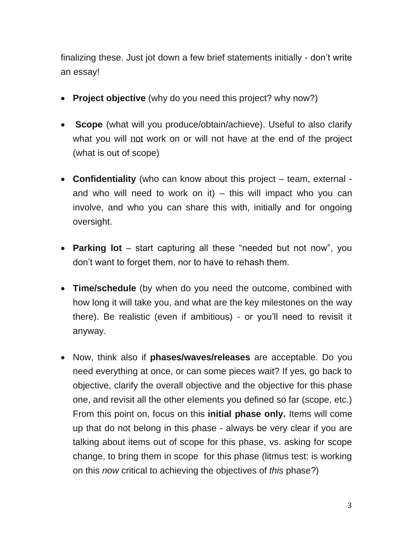finalizing these. Just jot down a few brief statements initially - don't write an essay!

- **Project objective** (why do you need this project? why now?)
- **Scope** (what will you produce/obtain/achieve). Useful to also clarify what you will not work on or will not have at the end of the project (what is out of scope)
- **Confidentiality** (who can know about this project team, external and who will need to work on it) – this will impact who you can involve, and who you can share this with, initially and for ongoing oversight.
- **Parking lot** start capturing all these "needed but not now", you don't want to forget them, nor to have to rehash them.
- **Time/schedule** (by when do you need the outcome, combined with how long it will take you, and what are the key milestones on the way there). Be realistic (even if ambitious) - or you'll need to revisit it anyway.
- Now, think also if **phases/waves/releases** are acceptable. Do you need everything at once, or can some pieces wait? If yes, go back to objective, clarify the overall objective and the objective for this phase one, and revisit all the other elements you defined so far (scope, etc.) From this point on, focus on this **initial phase only.** Items will come up that do not belong in this phase - always be very clear if you are talking about items out of scope for this phase, vs. asking for scope change, to bring them in scope for this phase (litmus test: is working on this *now* critical to achieving the objectives of *this* phase?)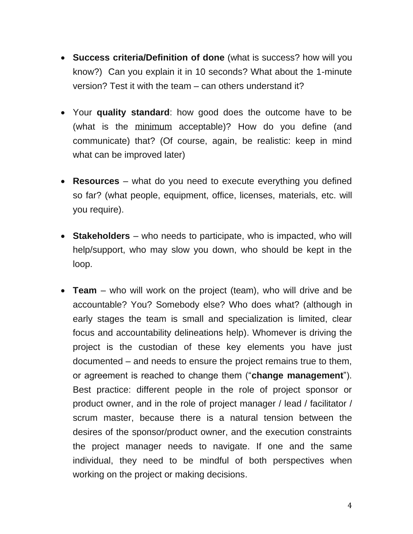- **Success criteria/Definition of done** (what is success? how will you know?) Can you explain it in 10 seconds? What about the 1-minute version? Test it with the team – can others understand it?
- Your **quality standard**: how good does the outcome have to be (what is the minimum acceptable)? How do you define (and communicate) that? (Of course, again, be realistic: keep in mind what can be improved later)
- **Resources** what do you need to execute everything you defined so far? (what people, equipment, office, licenses, materials, etc. will you require).
- **Stakeholders**  who needs to participate, who is impacted, who will help/support, who may slow you down, who should be kept in the loop.
- **Team**  who will work on the project (team), who will drive and be accountable? You? Somebody else? Who does what? (although in early stages the team is small and specialization is limited, clear focus and accountability delineations help). Whomever is driving the project is the custodian of these key elements you have just documented – and needs to ensure the project remains true to them, or agreement is reached to change them ("**change management**"). Best practice: different people in the role of project sponsor or product owner, and in the role of project manager / lead / facilitator / scrum master, because there is a natural tension between the desires of the sponsor/product owner, and the execution constraints the project manager needs to navigate. If one and the same individual, they need to be mindful of both perspectives when working on the project or making decisions.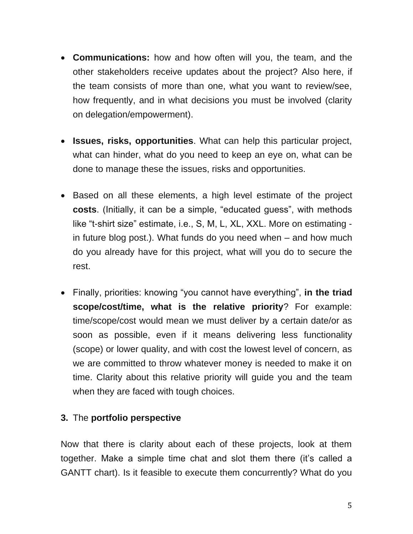- **Communications:** how and how often will you, the team, and the other stakeholders receive updates about the project? Also here, if the team consists of more than one, what you want to review/see, how frequently, and in what decisions you must be involved (clarity on delegation/empowerment).
- **Issues, risks, opportunities**. What can help this particular project, what can hinder, what do you need to keep an eye on, what can be done to manage these the issues, risks and opportunities.
- Based on all these elements, a high level estimate of the project **costs**. (Initially, it can be a simple, "educated guess", with methods like "t-shirt size" estimate, i.e., S, M, L, XL, XXL. More on estimating in future blog post.). What funds do you need when – and how much do you already have for this project, what will you do to secure the rest.
- Finally, priorities: knowing "you cannot have everything", **in the triad scope/cost/time, what is the relative priority**? For example: time/scope/cost would mean we must deliver by a certain date/or as soon as possible, even if it means delivering less functionality (scope) or lower quality, and with cost the lowest level of concern, as we are committed to throw whatever money is needed to make it on time. Clarity about this relative priority will guide you and the team when they are faced with tough choices.

## **3.** The **portfolio perspective**

Now that there is clarity about each of these projects, look at them together. Make a simple time chat and slot them there (it's called a GANTT chart). Is it feasible to execute them concurrently? What do you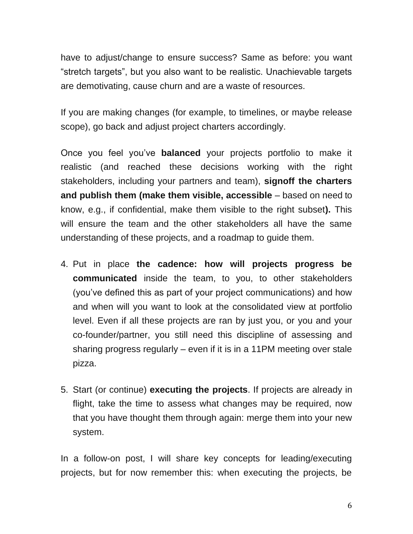have to adjust/change to ensure success? Same as before: you want "stretch targets", but you also want to be realistic. Unachievable targets are demotivating, cause churn and are a waste of resources.

If you are making changes (for example, to timelines, or maybe release scope), go back and adjust project charters accordingly.

Once you feel you've **balanced** your projects portfolio to make it realistic (and reached these decisions working with the right stakeholders, including your partners and team), **signoff the charters and publish them (make them visible, accessible** – based on need to know, e.g., if confidential, make them visible to the right subset**).** This will ensure the team and the other stakeholders all have the same understanding of these projects, and a roadmap to guide them.

- 4. Put in place **the cadence: how will projects progress be communicated** inside the team, to you, to other stakeholders (you've defined this as part of your project communications) and how and when will you want to look at the consolidated view at portfolio level. Even if all these projects are ran by just you, or you and your co-founder/partner, you still need this discipline of assessing and sharing progress regularly – even if it is in a 11PM meeting over stale pizza.
- 5. Start (or continue) **executing the projects**. If projects are already in flight, take the time to assess what changes may be required, now that you have thought them through again: merge them into your new system.

In a follow-on post, I will share key concepts for leading/executing projects, but for now remember this: when executing the projects, be